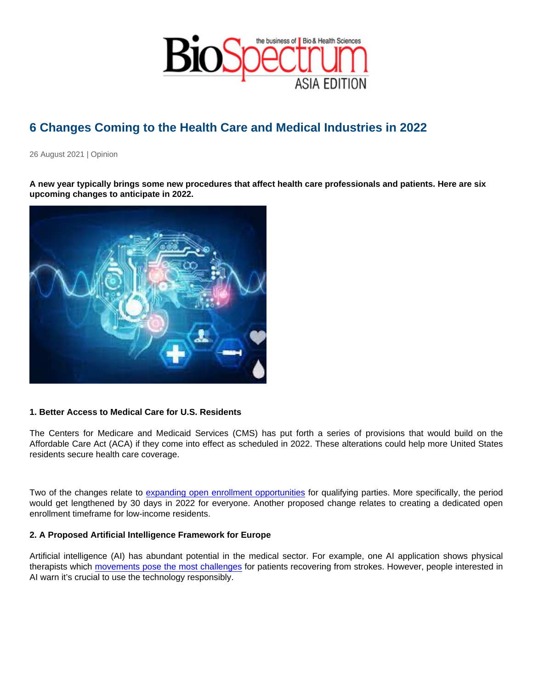## 6 Changes Coming to the Health Care and Medical Industries in 2022

26 August 2021 | Opinion

A new year typically brings some new procedures that affect health care professionals and patients. Here are six upcoming changes to anticipate in 2022.

1. Better Access to Medical Care for U.S. Residents

The Centers for Medicare and Medicaid Services (CMS) has put forth a series of provisions that would build on the Affordable Care Act (ACA) if they come into effect as scheduled in 2022. These alterations could help more United States residents secure health care coverage.

Two of the changes relate to [expanding open enrollment opportunities](https://www.healthcarefinancenews.com/news/cms-proposes-rule-increase-access-health-coverage-2022) for qualifying parties. More specifically, the period would get lengthened by 30 days in 2022 for everyone. Another proposed change relates to creating a dedicated open enrollment timeframe for low-income residents.

2. A Proposed Artificial Intelligence Framework for Europe

Artificial intelligence (AI) has abundant potential in the medical sector. For example, one AI application shows physical therapists which [movements pose the most challenges](https://rehack.com/data/ai/what-are-the-applications-of-artificial-intelligence-in-healthcare/) for patients recovering from strokes. However, people interested in AI warn it's crucial to use the technology responsibly.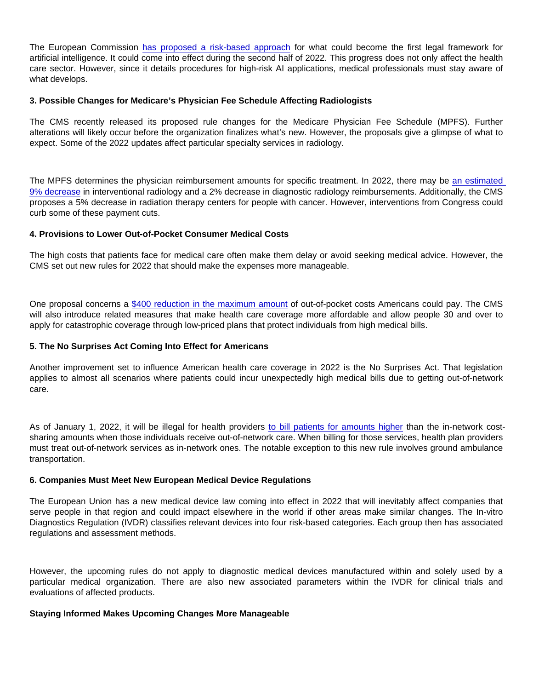The European Commission [has proposed a risk-based approach](https://digital-strategy.ec.europa.eu/en/policies/regulatory-framework-ai) for what could become the first legal framework for artificial intelligence. It could come into effect during the second half of 2022. This progress does not only affect the health care sector. However, since it details procedures for high-risk AI applications, medical professionals must stay aware of what develops.

3. Possible Changes for Medicare's Physician Fee Schedule Affecting Radiologists

The CMS recently released its proposed rule changes for the Medicare Physician Fee Schedule (MPFS). Further alterations will likely occur before the organization finalizes what's new. However, the proposals give a glimpse of what to expect. Some of the 2022 updates affect particular specialty services in radiology.

The MPFS determines the physician reimbursement amounts for specific treatment. In 2022, there may be [an estimated](https://info.hapusa.com/blog-0/medicares-proposed-rule-for-2022-has-few-changes-for-radiology-but-likely-a-cut-in-reimbursement)  [9% decrease](https://info.hapusa.com/blog-0/medicares-proposed-rule-for-2022-has-few-changes-for-radiology-but-likely-a-cut-in-reimbursement) in interventional radiology and a 2% decrease in diagnostic radiology reimbursements. Additionally, the CMS proposes a 5% decrease in radiation therapy centers for people with cancer. However, interventions from Congress could curb some of these payment cuts.

4. Provisions to Lower Out-of-Pocket Consumer Medical Costs

The high costs that patients face for medical care often make them delay or avoid seeking medical advice. However, the CMS set out new rules for 2022 that should make the expenses more manageable.

One proposal concerns a [\\$400 reduction in the maximum amount](https://www.cms.gov/newsroom/press-releases/cms-adopt-rules-lower-health-care-costs-2022-federal-health-insurance-marketplace-plans) of out-of-pocket costs Americans could pay. The CMS will also introduce related measures that make health care coverage more affordable and allow people 30 and over to apply for catastrophic coverage through low-priced plans that protect individuals from high medical bills.

5. The No Surprises Act Coming Into Effect for Americans

Another improvement set to influence American health care coverage in 2022 is the No Surprises Act. That legislation applies to almost all scenarios where patients could incur unexpectedly high medical bills due to getting out-of-network care.

As of January 1, 2022, it will be illegal for health providers [to bill patients for amounts higher](https://www.brookings.edu/blog/usc-brookings-schaeffer-on-health-policy/2021/02/04/understanding-the-no-surprises-act/) than the in-network costsharing amounts when those individuals receive out-of-network care. When billing for those services, health plan providers must treat out-of-network services as in-network ones. The notable exception to this new rule involves ground ambulance transportation.

## 6. Companies Must Meet New European Medical Device Regulations

The European Union has a new medical device law coming into effect in 2022 that will inevitably affect companies that serve people in that region and could impact elsewhere in the world if other areas make similar changes. The In-vitro Diagnostics Regulation (IVDR) classifies relevant devices into four risk-based categories. Each group then has associated regulations and assessment methods.

However, the upcoming rules do not apply to diagnostic medical devices manufactured within and solely used by a particular medical organization. There are also new associated parameters within the IVDR for clinical trials and evaluations of affected products.

Staying Informed Makes Upcoming Changes More Manageable